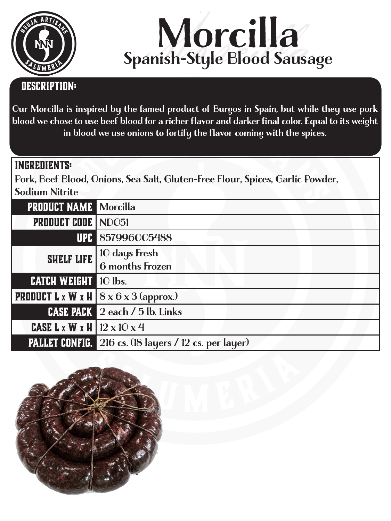



## **Description:**

Our Morcilla is inspired by the famed product of Burgos in Spain, but while they use pork blood we chose to use beef blood for a richer flavor and darker final color. Equal to its weight in blood we use onions to fortify the flavor coming with the spices.

## **ingredients:**

Pork, Beef Blood, Onions, Sea Salt, Gluten-Free Flour, Spices, Garlic Powder, Sodium Nitrite

| <b>PRODUCT NAME Morcilla</b>                    |                                                                                       |
|-------------------------------------------------|---------------------------------------------------------------------------------------|
| <b>PRODUCT CODE   NDO51</b>                     |                                                                                       |
|                                                 | UPC 857996005488                                                                      |
|                                                 | <b>SHELF LIFE</b> $\begin{bmatrix} 10 \text{ days} \\ 6 \text{ months} \end{bmatrix}$ |
| <b>CATCH WEIGHT</b> 10 lbs.                     |                                                                                       |
|                                                 | <b>PRODUCT</b> L x W x H $\vert$ 8 x 6 x 3 (approx.)                                  |
|                                                 | <b>CASE PACK</b> 2 each / 5 lb. Links                                                 |
| <b>CASE L x W x H</b> $ 12 \times 10 \times 4 $ |                                                                                       |
|                                                 | <b>PALLET CONFIG.</b> 216 cs. (18 layers / 12 cs. per layer)                          |

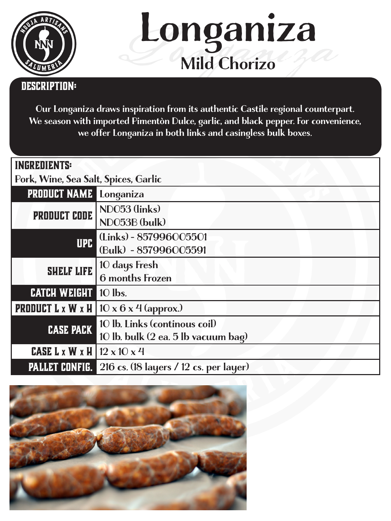



## **Description:**

Our Longaniza draws inspiration from its authentic Castile regional counterpart. We season with imported Pimentòn Dulce, garlic, and black pepper. For convenience, we offer Longaniza in both links and casingless bulk boxes.

| <b>INGREDIENTS:</b>                             |                                                             |  |
|-------------------------------------------------|-------------------------------------------------------------|--|
| Pork, Wine, Sea Salt, Spices, Garlic            |                                                             |  |
| <b>PRODUCT NAME</b> Longaniza                   |                                                             |  |
| PRODUCT CODE                                    | NDO53 (links)                                               |  |
|                                                 | NDO53B (bulk)                                               |  |
| <b>UPC</b>                                      | (Links) - 857996005501                                      |  |
|                                                 | (Bulk) - 857996005591                                       |  |
| <b>SHELF LIFE</b>                               | 10 days Fresh                                               |  |
|                                                 | <b>6</b> months Frozen                                      |  |
| <b>CATCH WEIGHT</b>                             | $10$ lbs.                                                   |  |
|                                                 | <b>PRODUCT L x W x H</b>   $10 \times 6 \times 4$ (approx.) |  |
| <b>CASE PACK</b>                                | 10 lb. Links (continous coil)                               |  |
|                                                 | 10 lb. bulk (2 ea. 5 lb vacuum bag)                         |  |
| <b>CASE L x W x H</b>   $12 \times 10 \times 4$ |                                                             |  |
| <b>PALLET CONFIG.</b>                           | 216 cs. (18 layers / 12 cs. per layer)                      |  |